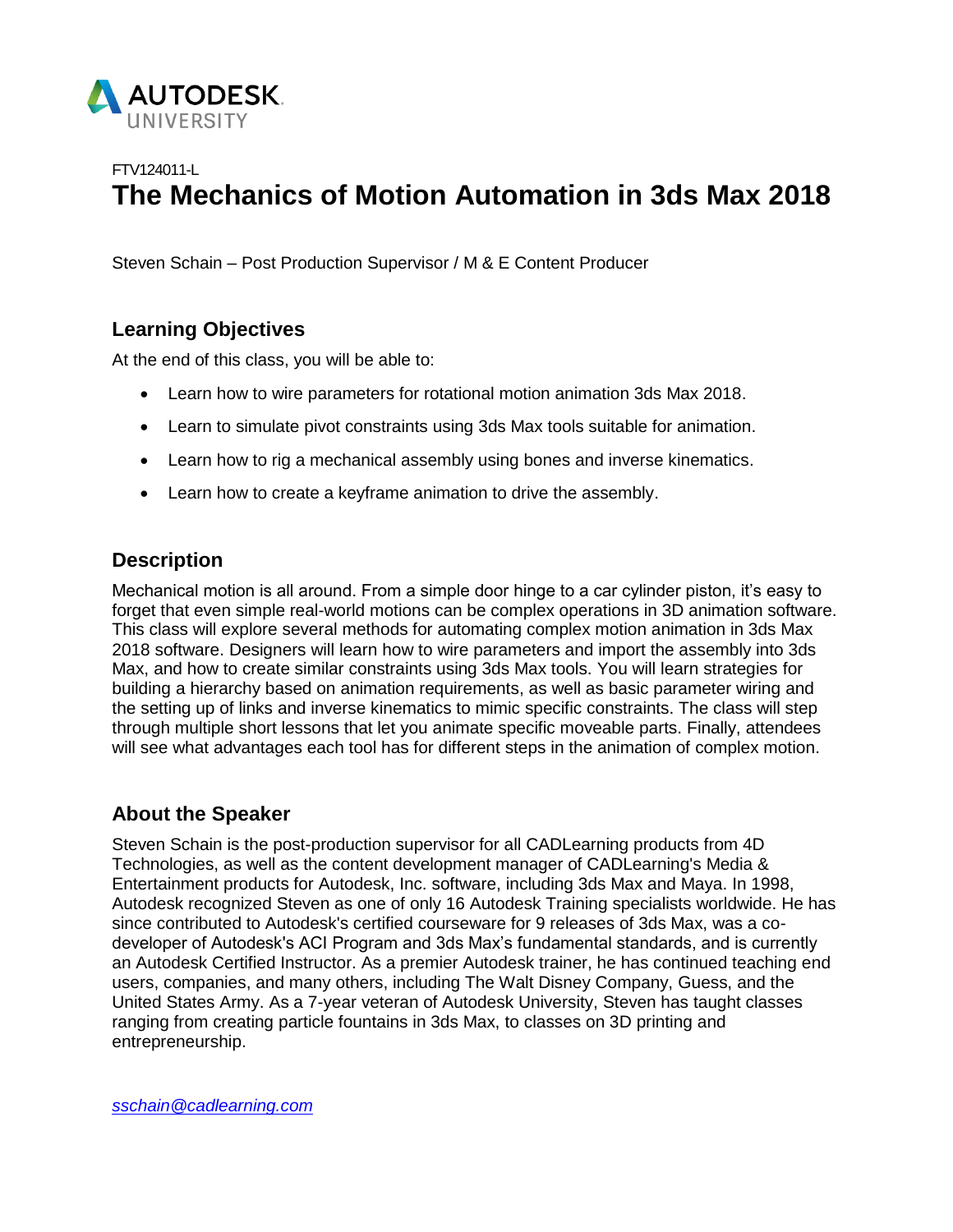

# FTV124011-L **The Mechanics of Motion Automation in 3ds Max 2018**

Steven Schain – Post Production Supervisor / M & E Content Producer

# **Learning Objectives**

At the end of this class, you will be able to:

- Learn how to wire parameters for rotational motion animation 3ds Max 2018.
- Learn to simulate pivot constraints using 3ds Max tools suitable for animation.
- Learn how to rig a mechanical assembly using bones and inverse kinematics.
- Learn how to create a keyframe animation to drive the assembly.

## **Description**

Mechanical motion is all around. From a simple door hinge to a car cylinder piston, it's easy to forget that even simple real-world motions can be complex operations in 3D animation software. This class will explore several methods for automating complex motion animation in 3ds Max 2018 software. Designers will learn how to wire parameters and import the assembly into 3ds Max, and how to create similar constraints using 3ds Max tools. You will learn strategies for building a hierarchy based on animation requirements, as well as basic parameter wiring and the setting up of links and inverse kinematics to mimic specific constraints. The class will step through multiple short lessons that let you animate specific moveable parts. Finally, attendees will see what advantages each tool has for different steps in the animation of complex motion.

# **About the Speaker**

Steven Schain is the post-production supervisor for all CADLearning products from 4D Technologies, as well as the content development manager of CADLearning's Media & Entertainment products for Autodesk, Inc. software, including 3ds Max and Maya. In 1998, Autodesk recognized Steven as one of only 16 Autodesk Training specialists worldwide. He has since contributed to Autodesk's certified courseware for 9 releases of 3ds Max, was a codeveloper of Autodesk's ACI Program and 3ds Max's fundamental standards, and is currently an Autodesk Certified Instructor. As a premier Autodesk trainer, he has continued teaching end users, companies, and many others, including The Walt Disney Company, Guess, and the United States Army. As a 7-year veteran of Autodesk University, Steven has taught classes ranging from creating particle fountains in 3ds Max, to classes on 3D printing and entrepreneurship.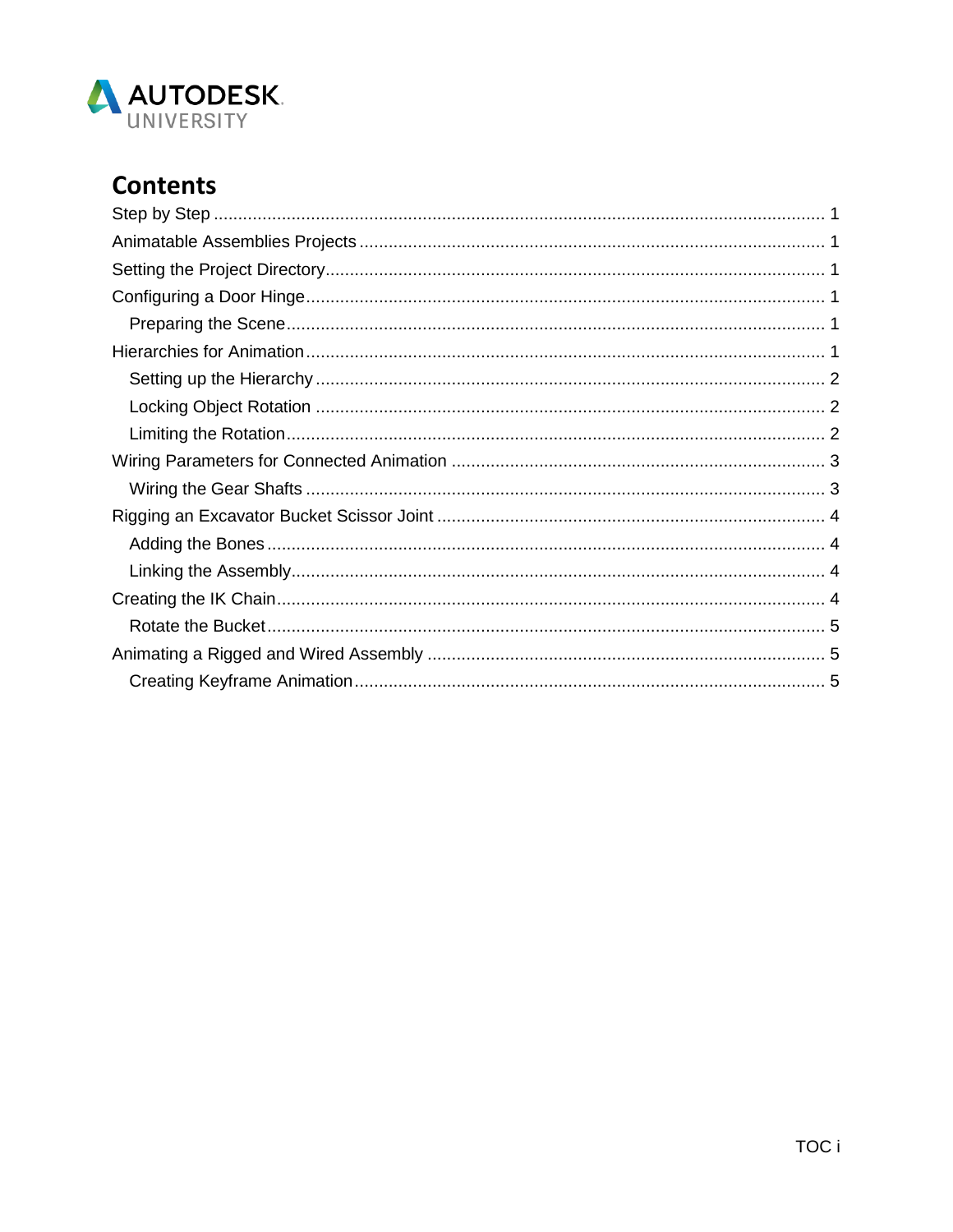

# **Contents**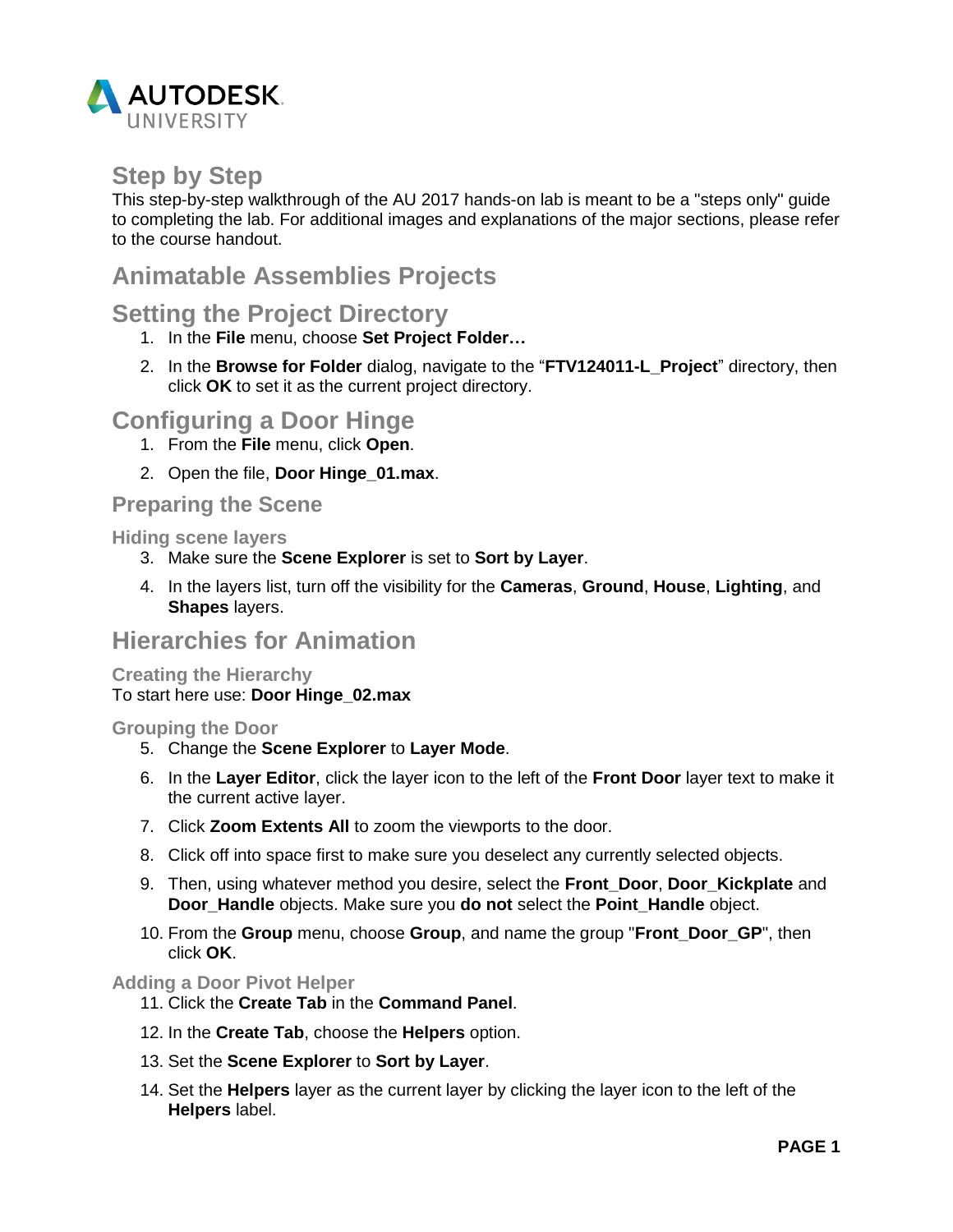

# <span id="page-2-0"></span>**Step by Step**

This step-by-step walkthrough of the AU 2017 hands-on lab is meant to be a "steps only" guide to completing the lab. For additional images and explanations of the major sections, please refer to the course handout.

# <span id="page-2-1"></span>**Animatable Assemblies Projects**

# <span id="page-2-2"></span>**Setting the Project Directory**

- 1. In the **File** menu, choose **Set Project Folder…**
- 2. In the **Browse for Folder** dialog, navigate to the "**FTV124011-L\_Project**" directory, then click **OK** to set it as the current project directory.

# <span id="page-2-3"></span>**Configuring a Door Hinge**

- 1. From the **File** menu, click **Open**.
- 2. Open the file, **Door Hinge\_01.max**.

### <span id="page-2-4"></span>**Preparing the Scene**

**Hiding scene layers**

- 3. Make sure the **Scene Explorer** is set to **Sort by Layer**.
- 4. In the layers list, turn off the visibility for the **Cameras**, **Ground**, **House**, **Lighting**, and **Shapes** layers.

# <span id="page-2-5"></span>**Hierarchies for Animation**

### **Creating the Hierarchy** To start here use: **Door Hinge\_02.max**

### **Grouping the Door**

- 5. Change the **Scene Explorer** to **Layer Mode**.
- 6. In the **Layer Editor**, click the layer icon to the left of the **Front Door** layer text to make it the current active layer.
- 7. Click **Zoom Extents All** to zoom the viewports to the door.
- 8. Click off into space first to make sure you deselect any currently selected objects.
- 9. Then, using whatever method you desire, select the **Front\_Door**, **Door\_Kickplate** and **Door\_Handle** objects. Make sure you **do not** select the **Point\_Handle** object.
- 10. From the **Group** menu, choose **Group**, and name the group "**Front\_Door\_GP**", then click **OK**.

### **Adding a Door Pivot Helper**

- 11. Click the **Create Tab** in the **Command Panel**.
- 12. In the **Create Tab**, choose the **Helpers** option.
- 13. Set the **Scene Explorer** to **Sort by Layer**.
- 14. Set the **Helpers** layer as the current layer by clicking the layer icon to the left of the **Helpers** label.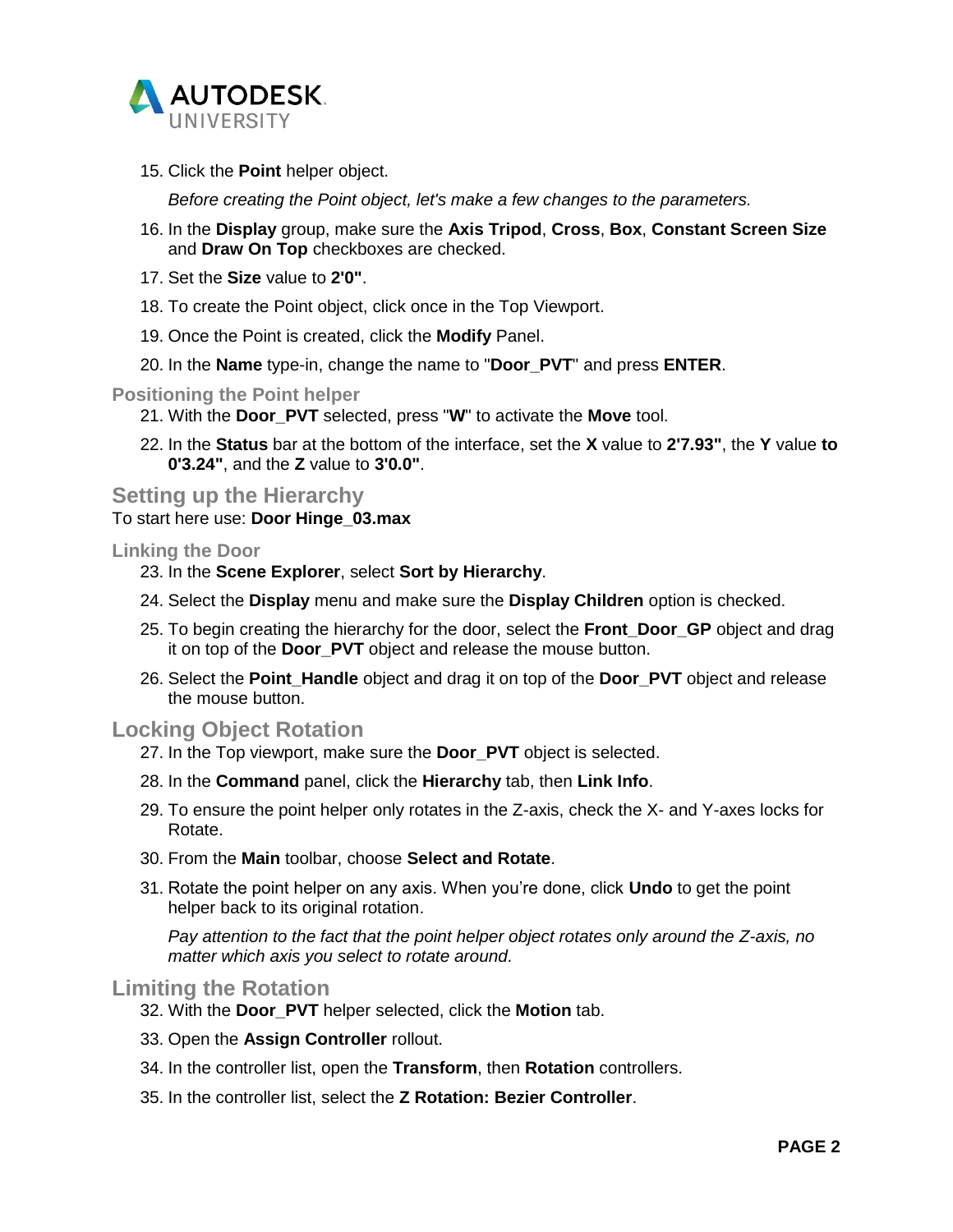

15. Click the **Point** helper object.

*Before creating the Point object, let's make a few changes to the parameters.*

- 16. In the **Display** group, make sure the **Axis Tripod**, **Cross**, **Box**, **Constant Screen Size** and **Draw On Top** checkboxes are checked.
- 17. Set the **Size** value to **2'0"**.
- 18. To create the Point object, click once in the Top Viewport.
- 19. Once the Point is created, click the **Modify** Panel.
- 20. In the **Name** type-in, change the name to "**Door\_PVT**" and press **ENTER**.

**Positioning the Point helper**

- 21. With the **Door\_PVT** selected, press "**W**" to activate the **Move** tool.
- 22. In the **Status** bar at the bottom of the interface, set the **X** value to **2'7.93"**, the **Y** value **to 0'3.24"**, and the **Z** value to **3'0.0"**.

<span id="page-3-0"></span>**Setting up the Hierarchy** To start here use: **Door Hinge\_03.max**

### **Linking the Door**

- 23. In the **Scene Explorer**, select **Sort by Hierarchy**.
- 24. Select the **Display** menu and make sure the **Display Children** option is checked.
- 25. To begin creating the hierarchy for the door, select the **Front\_Door\_GP** object and drag it on top of the **Door\_PVT** object and release the mouse button.
- 26. Select the **Point\_Handle** object and drag it on top of the **Door\_PVT** object and release the mouse button.

### <span id="page-3-1"></span>**Locking Object Rotation**

- 27. In the Top viewport, make sure the **Door\_PVT** object is selected.
- 28. In the **Command** panel, click the **Hierarchy** tab, then **Link Info**.
- 29. To ensure the point helper only rotates in the Z-axis, check the X- and Y-axes locks for Rotate.
- 30. From the **Main** toolbar, choose **Select and Rotate**.
- 31. Rotate the point helper on any axis. When you're done, click **Undo** to get the point helper back to its original rotation.

*Pay attention to the fact that the point helper object rotates only around the Z-axis, no matter which axis you select to rotate around.*

### <span id="page-3-2"></span>**Limiting the Rotation**

- 32. With the **Door\_PVT** helper selected, click the **Motion** tab.
- 33. Open the **Assign Controller** rollout.
- 34. In the controller list, open the **Transform**, then **Rotation** controllers.
- 35. In the controller list, select the **Z Rotation: Bezier Controller**.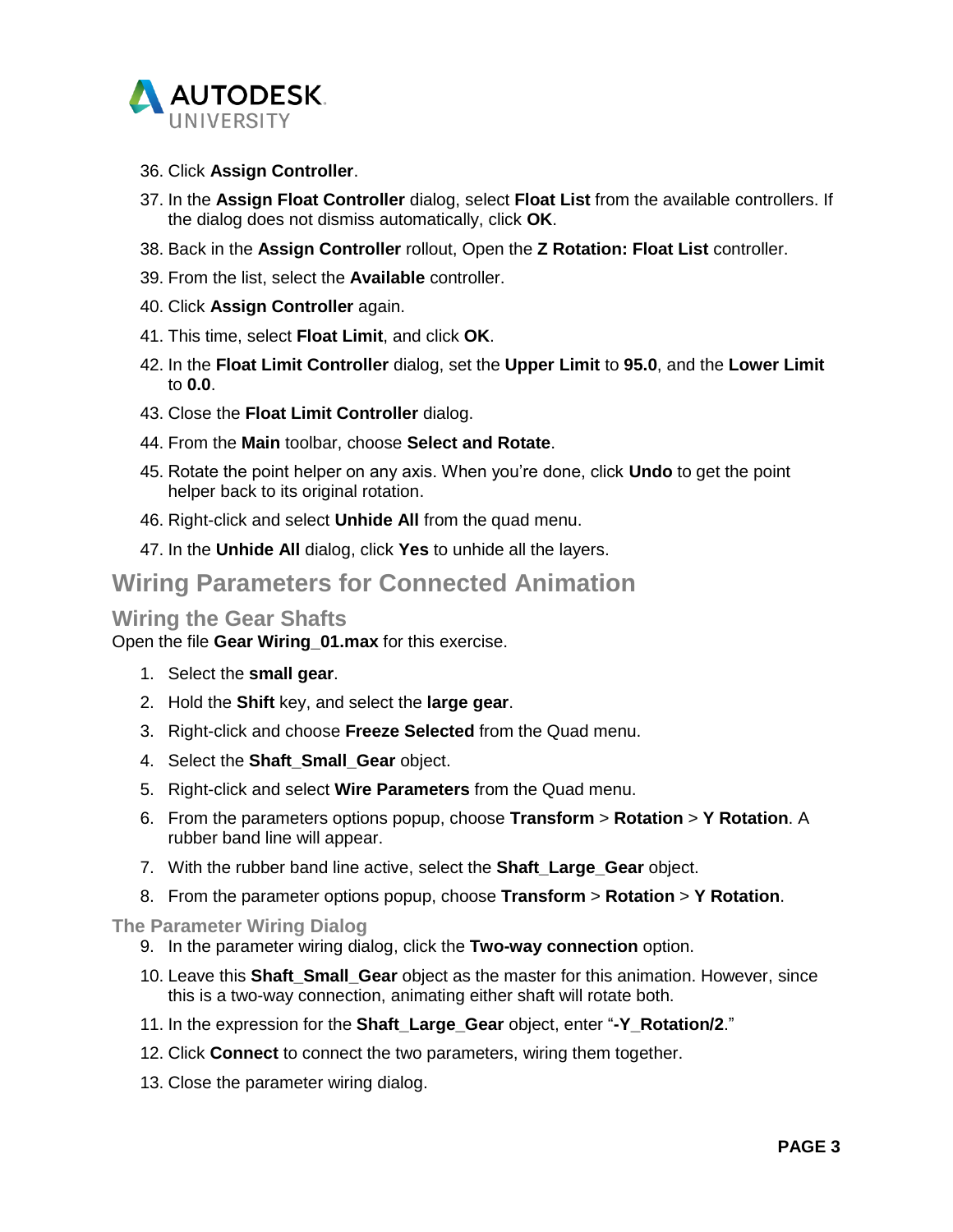

- 36. Click **Assign Controller**.
- 37. In the **Assign Float Controller** dialog, select **Float List** from the available controllers. If the dialog does not dismiss automatically, click **OK**.
- 38. Back in the **Assign Controller** rollout, Open the **Z Rotation: Float List** controller.
- 39. From the list, select the **Available** controller.
- 40. Click **Assign Controller** again.
- 41. This time, select **Float Limit**, and click **OK**.
- 42. In the **Float Limit Controller** dialog, set the **Upper Limit** to **95.0**, and the **Lower Limit** to **0.0**.
- 43. Close the **Float Limit Controller** dialog.
- 44. From the **Main** toolbar, choose **Select and Rotate**.
- 45. Rotate the point helper on any axis. When you're done, click **Undo** to get the point helper back to its original rotation.
- 46. Right-click and select **Unhide All** from the quad menu.
- 47. In the **Unhide All** dialog, click **Yes** to unhide all the layers.

# <span id="page-4-0"></span>**Wiring Parameters for Connected Animation**

### <span id="page-4-1"></span>**Wiring the Gear Shafts**

Open the file **Gear Wiring\_01.max** for this exercise.

- 1. Select the **small gear**.
- 2. Hold the **Shift** key, and select the **large gear**.
- 3. Right-click and choose **Freeze Selected** from the Quad menu.
- 4. Select the **Shaft\_Small\_Gear** object.
- 5. Right-click and select **Wire Parameters** from the Quad menu.
- 6. From the parameters options popup, choose **Transform** > **Rotation** > **Y Rotation**. A rubber band line will appear.
- 7. With the rubber band line active, select the **Shaft\_Large\_Gear** object.
- 8. From the parameter options popup, choose **Transform** > **Rotation** > **Y Rotation**.

### **The Parameter Wiring Dialog**

- 9. In the parameter wiring dialog, click the **Two-way connection** option.
- 10. Leave this **Shaft\_Small\_Gear** object as the master for this animation. However, since this is a two-way connection, animating either shaft will rotate both.
- 11. In the expression for the **Shaft\_Large\_Gear** object, enter "**-Y\_Rotation/2**."
- 12. Click **Connect** to connect the two parameters, wiring them together.
- 13. Close the parameter wiring dialog.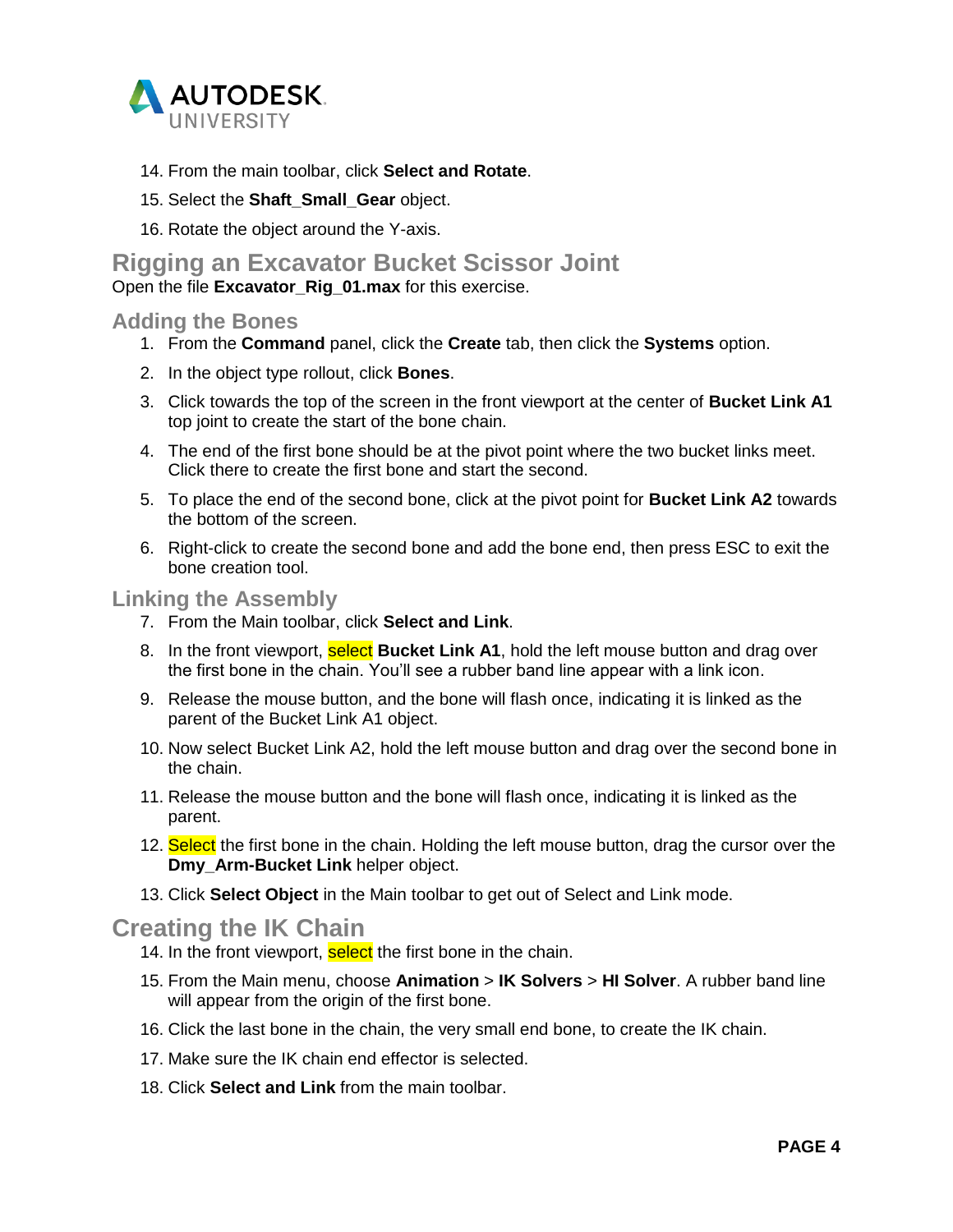

- 14. From the main toolbar, click **Select and Rotate**.
- 15. Select the **Shaft\_Small\_Gear** object.
- 16. Rotate the object around the Y-axis.

# <span id="page-5-0"></span>**Rigging an Excavator Bucket Scissor Joint**

Open the file **Excavator\_Rig\_01.max** for this exercise.

### <span id="page-5-1"></span>**Adding the Bones**

- 1. From the **Command** panel, click the **Create** tab, then click the **Systems** option.
- 2. In the object type rollout, click **Bones**.
- 3. Click towards the top of the screen in the front viewport at the center of **Bucket Link A1** top joint to create the start of the bone chain.
- 4. The end of the first bone should be at the pivot point where the two bucket links meet. Click there to create the first bone and start the second.
- 5. To place the end of the second bone, click at the pivot point for **Bucket Link A2** towards the bottom of the screen.
- 6. Right-click to create the second bone and add the bone end, then press ESC to exit the bone creation tool.

### <span id="page-5-2"></span>**Linking the Assembly**

- 7. From the Main toolbar, click **Select and Link**.
- 8. In the front viewport, **select Bucket Link A1**, hold the left mouse button and drag over the first bone in the chain. You'll see a rubber band line appear with a link icon.
- 9. Release the mouse button, and the bone will flash once, indicating it is linked as the parent of the Bucket Link A1 object.
- 10. Now select Bucket Link A2, hold the left mouse button and drag over the second bone in the chain.
- 11. Release the mouse button and the bone will flash once, indicating it is linked as the parent.
- 12. Select the first bone in the chain. Holding the left mouse button, drag the cursor over the **Dmy Arm-Bucket Link** helper object.
- 13. Click **Select Object** in the Main toolbar to get out of Select and Link mode.

# <span id="page-5-3"></span>**Creating the IK Chain**

- 14. In the front viewport, select the first bone in the chain.
- 15. From the Main menu, choose **Animation** > **IK Solvers** > **HI Solver**. A rubber band line will appear from the origin of the first bone.
- 16. Click the last bone in the chain, the very small end bone, to create the IK chain.
- 17. Make sure the IK chain end effector is selected.
- 18. Click **Select and Link** from the main toolbar.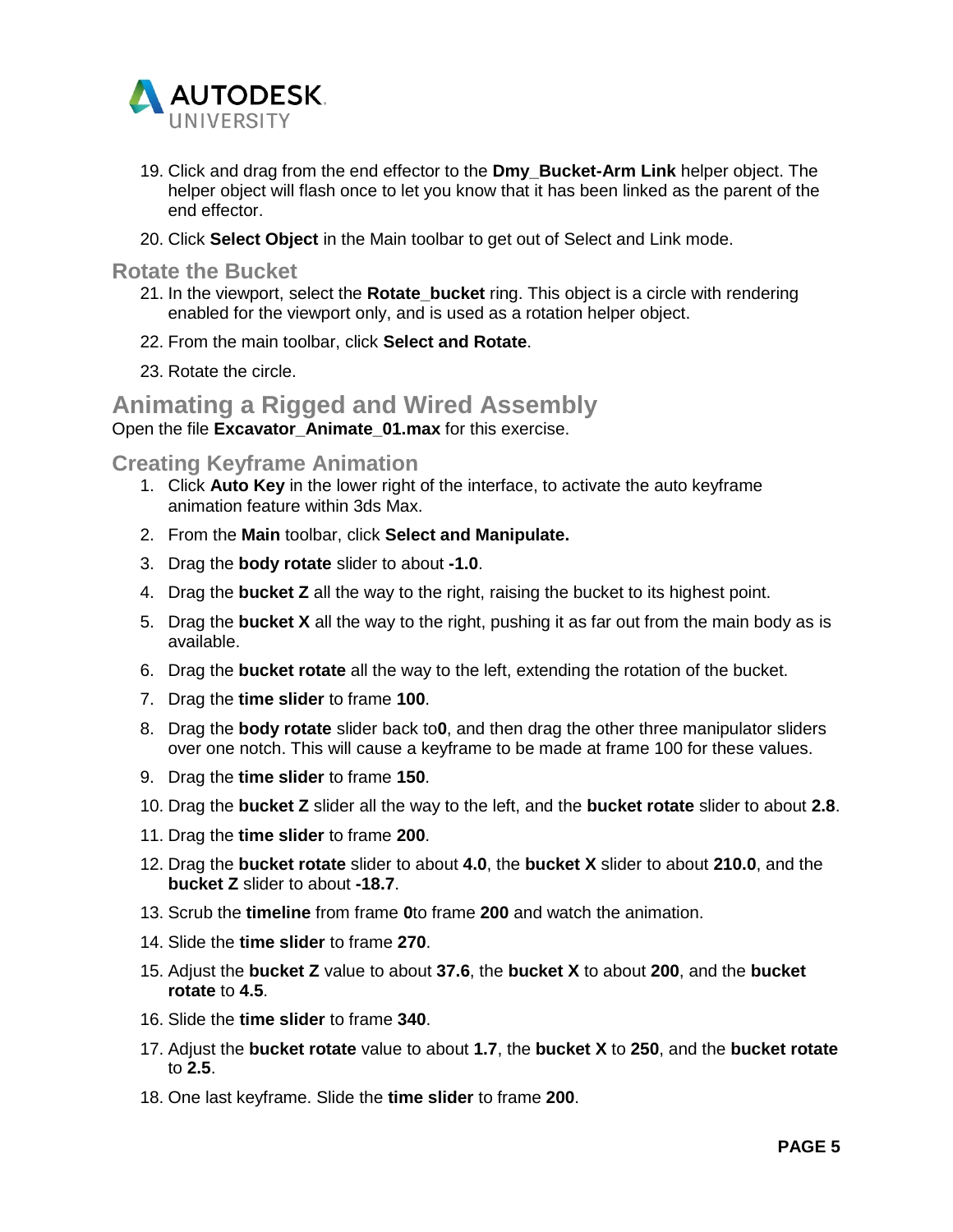

- 19. Click and drag from the end effector to the **Dmy\_Bucket-Arm Link** helper object. The helper object will flash once to let you know that it has been linked as the parent of the end effector.
- 20. Click **Select Object** in the Main toolbar to get out of Select and Link mode.

<span id="page-6-0"></span>**Rotate the Bucket**

- 21. In the viewport, select the **Rotate\_bucket** ring. This object is a circle with rendering enabled for the viewport only, and is used as a rotation helper object.
- 22. From the main toolbar, click **Select and Rotate**.
- 23. Rotate the circle.

<span id="page-6-1"></span>**Animating a Rigged and Wired Assembly**

Open the file **Excavator\_Animate\_01.max** for this exercise.

<span id="page-6-2"></span>**Creating Keyframe Animation**

- 1. Click **Auto Key** in the lower right of the interface, to activate the auto keyframe animation feature within 3ds Max.
- 2. From the **Main** toolbar, click **Select and Manipulate.**
- 3. Drag the **body rotate** slider to about **-1.0**.
- 4. Drag the **bucket Z** all the way to the right, raising the bucket to its highest point.
- 5. Drag the **bucket X** all the way to the right, pushing it as far out from the main body as is available.
- 6. Drag the **bucket rotate** all the way to the left, extending the rotation of the bucket.
- 7. Drag the **time slider** to frame **100**.
- 8. Drag the **body rotate** slider back to**0**, and then drag the other three manipulator sliders over one notch. This will cause a keyframe to be made at frame 100 for these values.
- 9. Drag the **time slider** to frame **150**.
- 10. Drag the **bucket Z** slider all the way to the left, and the **bucket rotate** slider to about **2.8**.
- 11. Drag the **time slider** to frame **200**.
- 12. Drag the **bucket rotate** slider to about **4.0**, the **bucket X** slider to about **210.0**, and the **bucket Z** slider to about **-18.7**.
- 13. Scrub the **timeline** from frame **0**to frame **200** and watch the animation.
- 14. Slide the **time slider** to frame **270**.
- 15. Adjust the **bucket Z** value to about **37.6**, the **bucket X** to about **200**, and the **bucket rotate** to **4.5**.
- 16. Slide the **time slider** to frame **340**.
- 17. Adjust the **bucket rotate** value to about **1.7**, the **bucket X** to **250**, and the **bucket rotate** to **2.5**.
- 18. One last keyframe. Slide the **time slider** to frame **200**.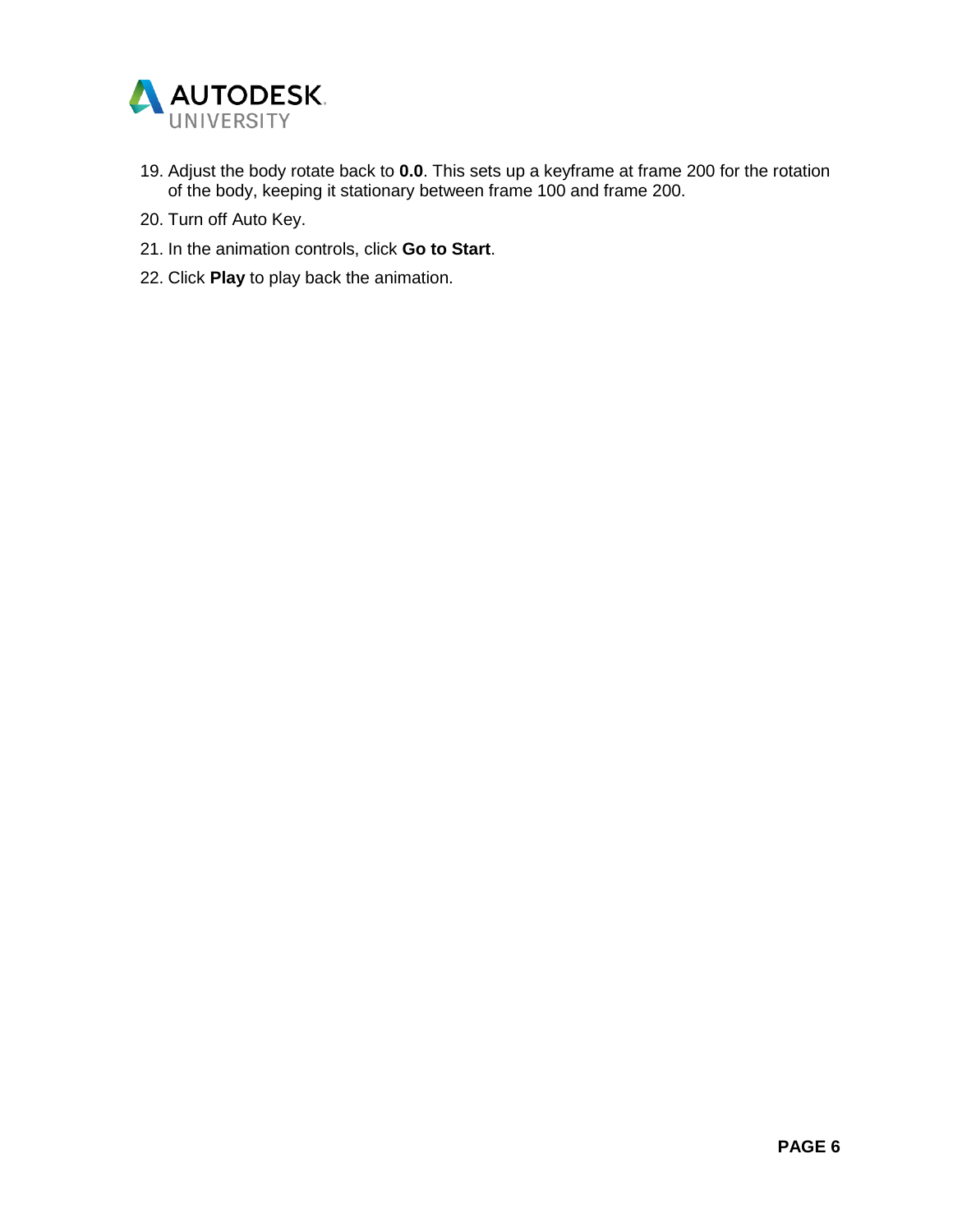

- 19. Adjust the body rotate back to **0.0**. This sets up a keyframe at frame 200 for the rotation of the body, keeping it stationary between frame 100 and frame 200.
- 20. Turn off Auto Key.
- 21. In the animation controls, click **Go to Start**.
- 22. Click **Play** to play back the animation.